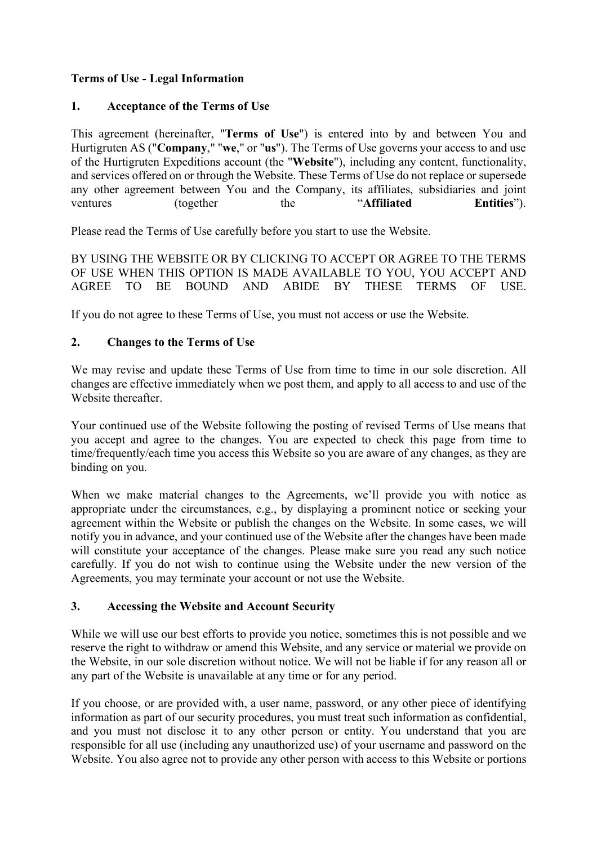# **Terms of Use - Legal Information**

#### **1. Acceptance of the Terms of Use**

This agreement (hereinafter, "**Terms of Use**") is entered into by and between You and Hurtigruten AS ("**Company**," "**we**," or "**us**"). The Terms of Use governs your access to and use of the Hurtigruten Expeditions account (the "**Website**"), including any content, functionality, and services offered on or through the Website. These Terms of Use do not replace or supersede any other agreement between You and the Company, its affiliates, subsidiaries and joint ventures (together the "**Affiliated Entities**").

Please read the Terms of Use carefully before you start to use the Website.

BY USING THE WEBSITE OR BY CLICKING TO ACCEPT OR AGREE TO THE TERMS OF USE WHEN THIS OPTION IS MADE AVAILABLE TO YOU, YOU ACCEPT AND AGREE TO BE BOUND AND ABIDE BY THESE TERMS OF USE.

If you do not agree to these Terms of Use, you must not access or use the Website.

# **2. Changes to the Terms of Use**

We may revise and update these Terms of Use from time to time in our sole discretion. All changes are effective immediately when we post them, and apply to all access to and use of the Website thereafter.

Your continued use of the Website following the posting of revised Terms of Use means that you accept and agree to the changes. You are expected to check this page from time to time/frequently/each time you access this Website so you are aware of any changes, as they are binding on you.

When we make material changes to the Agreements, we'll provide you with notice as appropriate under the circumstances, e.g., by displaying a prominent notice or seeking your agreement within the Website or publish the changes on the Website. In some cases, we will notify you in advance, and your continued use of the Website after the changes have been made will constitute your acceptance of the changes. Please make sure you read any such notice carefully. If you do not wish to continue using the Website under the new version of the Agreements, you may terminate your account or not use the Website.

#### **3. Accessing the Website and Account Security**

While we will use our best efforts to provide you notice, sometimes this is not possible and we reserve the right to withdraw or amend this Website, and any service or material we provide on the Website, in our sole discretion without notice. We will not be liable if for any reason all or any part of the Website is unavailable at any time or for any period.

If you choose, or are provided with, a user name, password, or any other piece of identifying information as part of our security procedures, you must treat such information as confidential, and you must not disclose it to any other person or entity. You understand that you are responsible for all use (including any unauthorized use) of your username and password on the Website. You also agree not to provide any other person with access to this Website or portions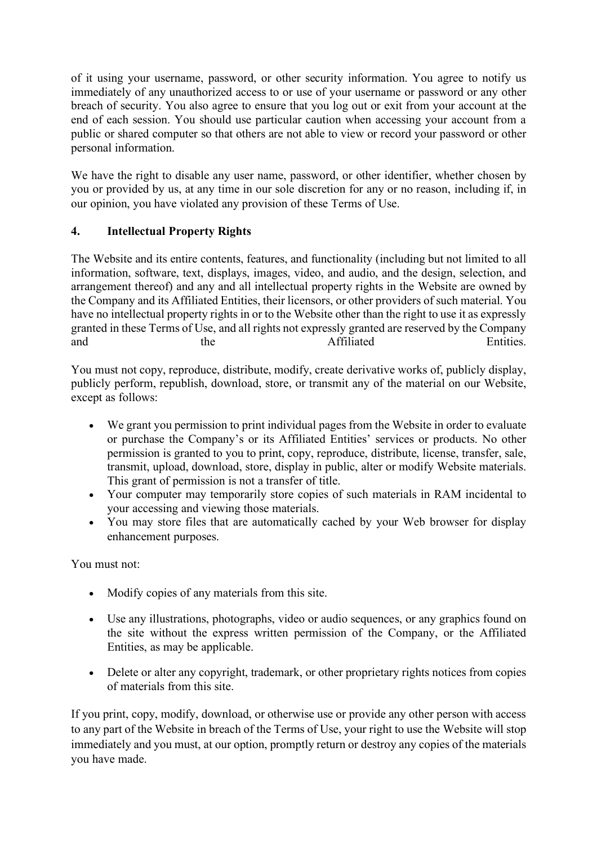of it using your username, password, or other security information. You agree to notify us immediately of any unauthorized access to or use of your username or password or any other breach of security. You also agree to ensure that you log out or exit from your account at the end of each session. You should use particular caution when accessing your account from a public or shared computer so that others are not able to view or record your password or other personal information.

We have the right to disable any user name, password, or other identifier, whether chosen by you or provided by us, at any time in our sole discretion for any or no reason, including if, in our opinion, you have violated any provision of these Terms of Use.

# **4. Intellectual Property Rights**

The Website and its entire contents, features, and functionality (including but not limited to all information, software, text, displays, images, video, and audio, and the design, selection, and arrangement thereof) and any and all intellectual property rights in the Website are owned by the Company and its Affiliated Entities, their licensors, or other providers of such material. You have no intellectual property rights in or to the Website other than the right to use it as expressly granted in these Terms of Use, and all rights not expressly granted are reserved by the Company and the Affiliated Entities.

You must not copy, reproduce, distribute, modify, create derivative works of, publicly display, publicly perform, republish, download, store, or transmit any of the material on our Website, except as follows:

- We grant you permission to print individual pages from the Website in order to evaluate or purchase the Company's or its Affiliated Entities' services or products. No other permission is granted to you to print, copy, reproduce, distribute, license, transfer, sale, transmit, upload, download, store, display in public, alter or modify Website materials. This grant of permission is not a transfer of title.
- Your computer may temporarily store copies of such materials in RAM incidental to your accessing and viewing those materials.
- You may store files that are automatically cached by your Web browser for display enhancement purposes.

You must not:

- Modify copies of any materials from this site.
- Use any illustrations, photographs, video or audio sequences, or any graphics found on the site without the express written permission of the Company, or the Affiliated Entities, as may be applicable.
- Delete or alter any copyright, trademark, or other proprietary rights notices from copies of materials from this site.

If you print, copy, modify, download, or otherwise use or provide any other person with access to any part of the Website in breach of the Terms of Use, your right to use the Website will stop immediately and you must, at our option, promptly return or destroy any copies of the materials you have made.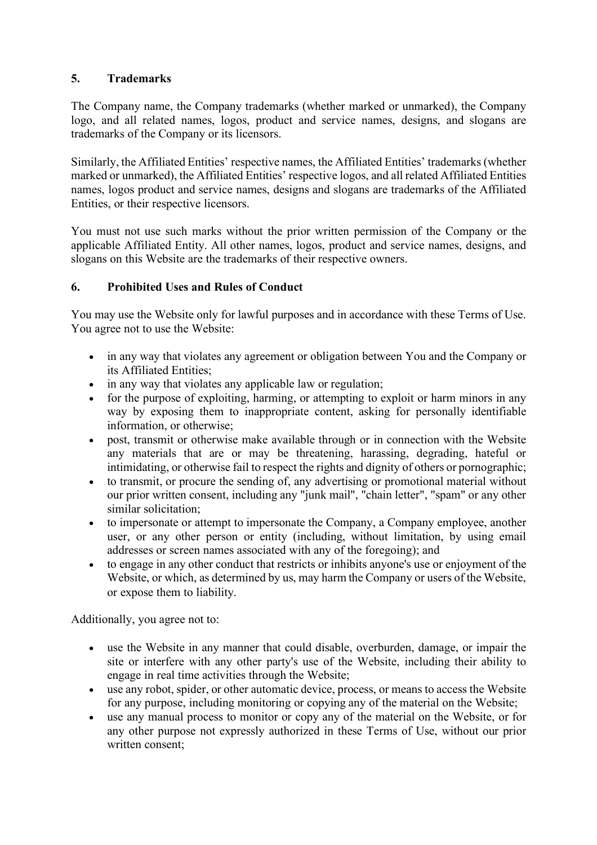#### **5. Trademarks**

The Company name, the Company trademarks (whether marked or unmarked), the Company logo, and all related names, logos, product and service names, designs, and slogans are trademarks of the Company or its licensors.

Similarly, the Affiliated Entities' respective names, the Affiliated Entities' trademarks (whether marked or unmarked), the Affiliated Entities' respective logos, and all related Affiliated Entities names, logos product and service names, designs and slogans are trademarks of the Affiliated Entities, or their respective licensors.

You must not use such marks without the prior written permission of the Company or the applicable Affiliated Entity. All other names, logos, product and service names, designs, and slogans on this Website are the trademarks of their respective owners.

#### **6. Prohibited Uses and Rules of Conduct**

You may use the Website only for lawful purposes and in accordance with these Terms of Use. You agree not to use the Website:

- in any way that violates any agreement or obligation between You and the Company or its Affiliated Entities;
- in any way that violates any applicable law or regulation;
- for the purpose of exploiting, harming, or attempting to exploit or harm minors in any way by exposing them to inappropriate content, asking for personally identifiable information, or otherwise;
- post, transmit or otherwise make available through or in connection with the Website any materials that are or may be threatening, harassing, degrading, hateful or intimidating, or otherwise fail to respect the rights and dignity of others or pornographic;
- to transmit, or procure the sending of, any advertising or promotional material without our prior written consent, including any "junk mail", "chain letter", "spam" or any other similar solicitation;
- to impersonate or attempt to impersonate the Company, a Company employee, another user, or any other person or entity (including, without limitation, by using email addresses or screen names associated with any of the foregoing); and
- to engage in any other conduct that restricts or inhibits anyone's use or enjoyment of the Website, or which, as determined by us, may harm the Company or users of the Website, or expose them to liability.

Additionally, you agree not to:

- use the Website in any manner that could disable, overburden, damage, or impair the site or interfere with any other party's use of the Website, including their ability to engage in real time activities through the Website;
- use any robot, spider, or other automatic device, process, or means to access the Website for any purpose, including monitoring or copying any of the material on the Website;
- use any manual process to monitor or copy any of the material on the Website, or for any other purpose not expressly authorized in these Terms of Use, without our prior written consent;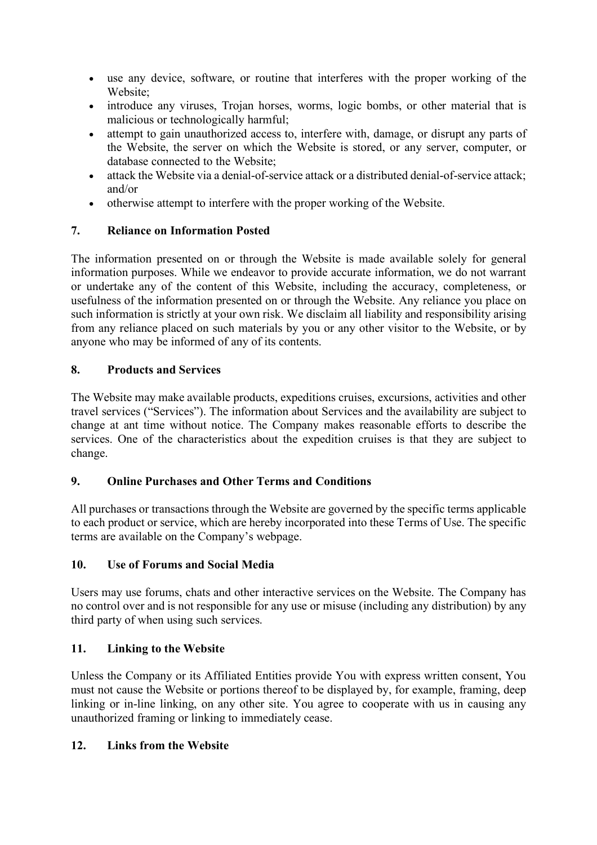- use any device, software, or routine that interferes with the proper working of the Website;
- introduce any viruses, Trojan horses, worms, logic bombs, or other material that is malicious or technologically harmful;
- attempt to gain unauthorized access to, interfere with, damage, or disrupt any parts of the Website, the server on which the Website is stored, or any server, computer, or database connected to the Website;
- attack the Website via a denial-of-service attack or a distributed denial-of-service attack; and/or
- otherwise attempt to interfere with the proper working of the Website.

# **7. Reliance on Information Posted**

The information presented on or through the Website is made available solely for general information purposes. While we endeavor to provide accurate information, we do not warrant or undertake any of the content of this Website, including the accuracy, completeness, or usefulness of the information presented on or through the Website. Any reliance you place on such information is strictly at your own risk. We disclaim all liability and responsibility arising from any reliance placed on such materials by you or any other visitor to the Website, or by anyone who may be informed of any of its contents.

# **8. Products and Services**

The Website may make available products, expeditions cruises, excursions, activities and other travel services ("Services"). The information about Services and the availability are subject to change at ant time without notice. The Company makes reasonable efforts to describe the services. One of the characteristics about the expedition cruises is that they are subject to change.

# **9. Online Purchases and Other Terms and Conditions**

All purchases or transactions through the Website are governed by the specific terms applicable to each product or service, which are hereby incorporated into these Terms of Use. The specific terms are available on the Company's webpage.

# **10. Use of Forums and Social Media**

Users may use forums, chats and other interactive services on the Website. The Company has no control over and is not responsible for any use or misuse (including any distribution) by any third party of when using such services.

# **11. Linking to the Website**

Unless the Company or its Affiliated Entities provide You with express written consent, You must not cause the Website or portions thereof to be displayed by, for example, framing, deep linking or in-line linking, on any other site. You agree to cooperate with us in causing any unauthorized framing or linking to immediately cease.

# **12. Links from the Website**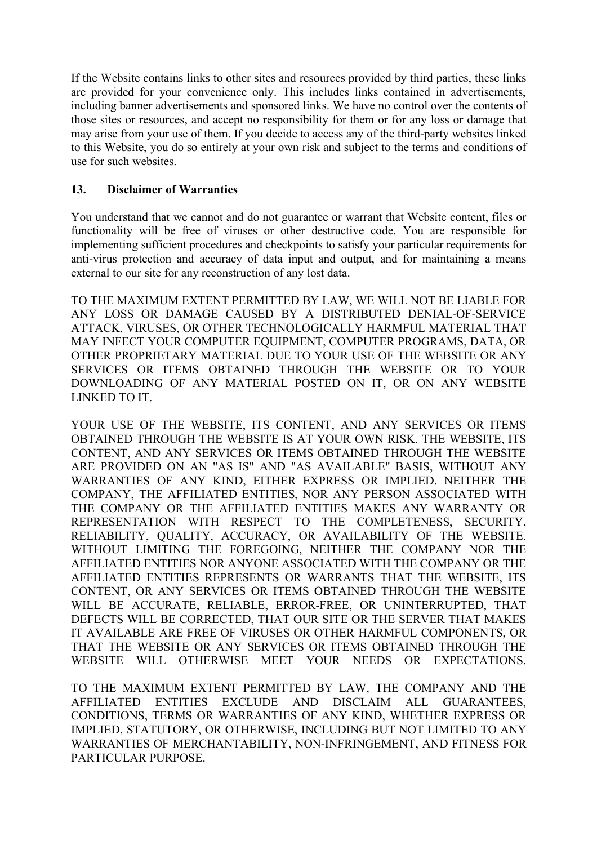If the Website contains links to other sites and resources provided by third parties, these links are provided for your convenience only. This includes links contained in advertisements, including banner advertisements and sponsored links. We have no control over the contents of those sites or resources, and accept no responsibility for them or for any loss or damage that may arise from your use of them. If you decide to access any of the third-party websites linked to this Website, you do so entirely at your own risk and subject to the terms and conditions of use for such websites.

#### **13. Disclaimer of Warranties**

You understand that we cannot and do not guarantee or warrant that Website content, files or functionality will be free of viruses or other destructive code. You are responsible for implementing sufficient procedures and checkpoints to satisfy your particular requirements for anti-virus protection and accuracy of data input and output, and for maintaining a means external to our site for any reconstruction of any lost data.

TO THE MAXIMUM EXTENT PERMITTED BY LAW, WE WILL NOT BE LIABLE FOR ANY LOSS OR DAMAGE CAUSED BY A DISTRIBUTED DENIAL-OF-SERVICE ATTACK, VIRUSES, OR OTHER TECHNOLOGICALLY HARMFUL MATERIAL THAT MAY INFECT YOUR COMPUTER EQUIPMENT, COMPUTER PROGRAMS, DATA, OR OTHER PROPRIETARY MATERIAL DUE TO YOUR USE OF THE WEBSITE OR ANY SERVICES OR ITEMS OBTAINED THROUGH THE WEBSITE OR TO YOUR DOWNLOADING OF ANY MATERIAL POSTED ON IT, OR ON ANY WEBSITE LINKED TO IT.

YOUR USE OF THE WEBSITE, ITS CONTENT, AND ANY SERVICES OR ITEMS OBTAINED THROUGH THE WEBSITE IS AT YOUR OWN RISK. THE WEBSITE, ITS CONTENT, AND ANY SERVICES OR ITEMS OBTAINED THROUGH THE WEBSITE ARE PROVIDED ON AN "AS IS" AND "AS AVAILABLE" BASIS, WITHOUT ANY WARRANTIES OF ANY KIND, EITHER EXPRESS OR IMPLIED. NEITHER THE COMPANY, THE AFFILIATED ENTITIES, NOR ANY PERSON ASSOCIATED WITH THE COMPANY OR THE AFFILIATED ENTITIES MAKES ANY WARRANTY OR REPRESENTATION WITH RESPECT TO THE COMPLETENESS, SECURITY, RELIABILITY, QUALITY, ACCURACY, OR AVAILABILITY OF THE WEBSITE. WITHOUT LIMITING THE FOREGOING, NEITHER THE COMPANY NOR THE AFFILIATED ENTITIES NOR ANYONE ASSOCIATED WITH THE COMPANY OR THE AFFILIATED ENTITIES REPRESENTS OR WARRANTS THAT THE WEBSITE, ITS CONTENT, OR ANY SERVICES OR ITEMS OBTAINED THROUGH THE WEBSITE WILL BE ACCURATE, RELIABLE, ERROR-FREE, OR UNINTERRUPTED, THAT DEFECTS WILL BE CORRECTED, THAT OUR SITE OR THE SERVER THAT MAKES IT AVAILABLE ARE FREE OF VIRUSES OR OTHER HARMFUL COMPONENTS, OR THAT THE WEBSITE OR ANY SERVICES OR ITEMS OBTAINED THROUGH THE WEBSITE WILL OTHERWISE MEET YOUR NEEDS OR EXPECTATIONS.

TO THE MAXIMUM EXTENT PERMITTED BY LAW, THE COMPANY AND THE AFFILIATED ENTITIES EXCLUDE AND DISCLAIM ALL GUARANTEES, CONDITIONS, TERMS OR WARRANTIES OF ANY KIND, WHETHER EXPRESS OR IMPLIED, STATUTORY, OR OTHERWISE, INCLUDING BUT NOT LIMITED TO ANY WARRANTIES OF MERCHANTABILITY, NON-INFRINGEMENT, AND FITNESS FOR PARTICULAR PURPOSE.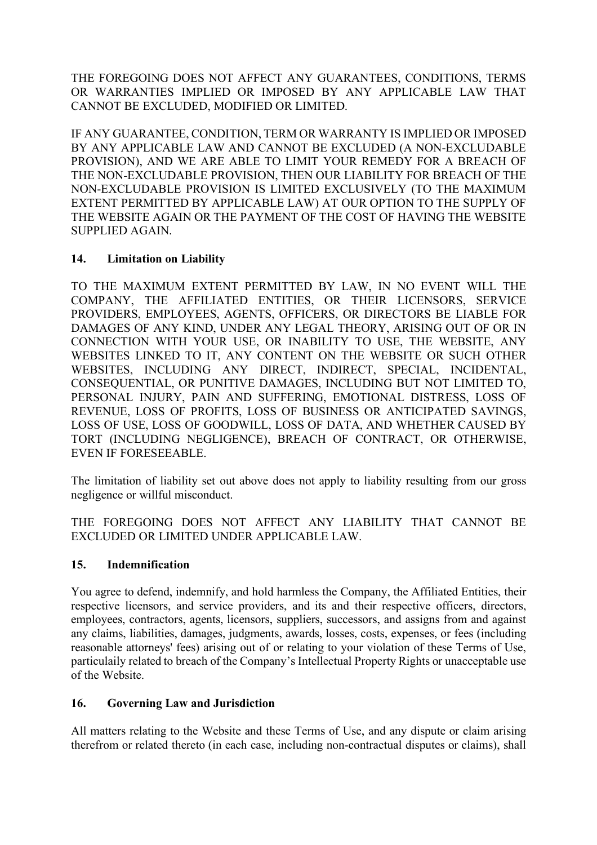THE FOREGOING DOES NOT AFFECT ANY GUARANTEES, CONDITIONS, TERMS OR WARRANTIES IMPLIED OR IMPOSED BY ANY APPLICABLE LAW THAT CANNOT BE EXCLUDED, MODIFIED OR LIMITED.

IF ANY GUARANTEE, CONDITION, TERM OR WARRANTY IS IMPLIED OR IMPOSED BY ANY APPLICABLE LAW AND CANNOT BE EXCLUDED (A NON-EXCLUDABLE PROVISION), AND WE ARE ABLE TO LIMIT YOUR REMEDY FOR A BREACH OF THE NON-EXCLUDABLE PROVISION, THEN OUR LIABILITY FOR BREACH OF THE NON-EXCLUDABLE PROVISION IS LIMITED EXCLUSIVELY (TO THE MAXIMUM EXTENT PERMITTED BY APPLICABLE LAW) AT OUR OPTION TO THE SUPPLY OF THE WEBSITE AGAIN OR THE PAYMENT OF THE COST OF HAVING THE WEBSITE SUPPLIED AGAIN.

#### **14. Limitation on Liability**

TO THE MAXIMUM EXTENT PERMITTED BY LAW, IN NO EVENT WILL THE COMPANY, THE AFFILIATED ENTITIES, OR THEIR LICENSORS, SERVICE PROVIDERS, EMPLOYEES, AGENTS, OFFICERS, OR DIRECTORS BE LIABLE FOR DAMAGES OF ANY KIND, UNDER ANY LEGAL THEORY, ARISING OUT OF OR IN CONNECTION WITH YOUR USE, OR INABILITY TO USE, THE WEBSITE, ANY WEBSITES LINKED TO IT, ANY CONTENT ON THE WEBSITE OR SUCH OTHER WEBSITES, INCLUDING ANY DIRECT, INDIRECT, SPECIAL, INCIDENTAL, CONSEQUENTIAL, OR PUNITIVE DAMAGES, INCLUDING BUT NOT LIMITED TO, PERSONAL INJURY, PAIN AND SUFFERING, EMOTIONAL DISTRESS, LOSS OF REVENUE, LOSS OF PROFITS, LOSS OF BUSINESS OR ANTICIPATED SAVINGS, LOSS OF USE, LOSS OF GOODWILL, LOSS OF DATA, AND WHETHER CAUSED BY TORT (INCLUDING NEGLIGENCE), BREACH OF CONTRACT, OR OTHERWISE, EVEN IF FORESEEABLE.

The limitation of liability set out above does not apply to liability resulting from our gross negligence or willful misconduct.

THE FOREGOING DOES NOT AFFECT ANY LIABILITY THAT CANNOT BE EXCLUDED OR LIMITED UNDER APPLICABLE LAW.

#### **15. Indemnification**

You agree to defend, indemnify, and hold harmless the Company, the Affiliated Entities, their respective licensors, and service providers, and its and their respective officers, directors, employees, contractors, agents, licensors, suppliers, successors, and assigns from and against any claims, liabilities, damages, judgments, awards, losses, costs, expenses, or fees (including reasonable attorneys' fees) arising out of or relating to your violation of these Terms of Use, particulaily related to breach of the Company's Intellectual Property Rights or unacceptable use of the Website.

# **16. Governing Law and Jurisdiction**

All matters relating to the Website and these Terms of Use, and any dispute or claim arising therefrom or related thereto (in each case, including non-contractual disputes or claims), shall